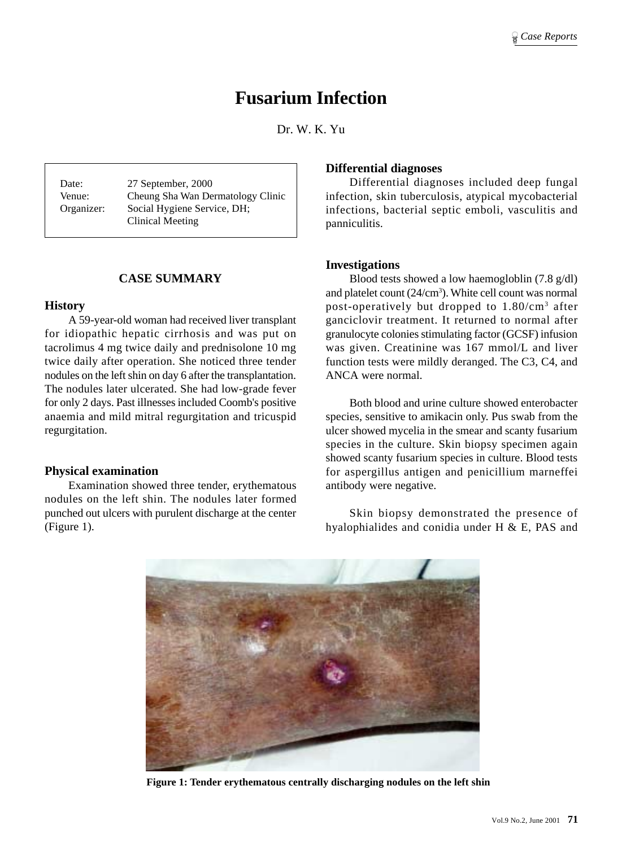# **Fusarium Infection**

Dr. W. K. Yu

Date: 27 September, 2000 Venue: Cheung Sha Wan Dermatology Clinic Organizer: Social Hygiene Service, DH; Clinical Meeting

# **CASE SUMMARY**

#### **History**

A 59-year-old woman had received liver transplant for idiopathic hepatic cirrhosis and was put on tacrolimus 4 mg twice daily and prednisolone 10 mg twice daily after operation. She noticed three tender nodules on the left shin on day 6 after the transplantation. The nodules later ulcerated. She had low-grade fever for only 2 days. Past illnesses included Coomb's positive anaemia and mild mitral regurgitation and tricuspid regurgitation.

#### **Physical examination**

Examination showed three tender, erythematous nodules on the left shin. The nodules later formed punched out ulcers with purulent discharge at the center (Figure 1).

## **Differential diagnoses**

Differential diagnoses included deep fungal infection, skin tuberculosis, atypical mycobacterial infections, bacterial septic emboli, vasculitis and panniculitis.

## **Investigations**

Blood tests showed a low haemogloblin (7.8 g/dl) and platelet count  $(24/cm<sup>3</sup>)$ . White cell count was normal post-operatively but dropped to 1.80/cm3 after ganciclovir treatment. It returned to normal after granulocyte colonies stimulating factor (GCSF) infusion was given. Creatinine was 167 mmol/L and liver function tests were mildly deranged. The C3, C4, and ANCA were normal.

Both blood and urine culture showed enterobacter species, sensitive to amikacin only. Pus swab from the ulcer showed mycelia in the smear and scanty fusarium species in the culture. Skin biopsy specimen again showed scanty fusarium species in culture. Blood tests for aspergillus antigen and penicillium marneffei antibody were negative.

Skin biopsy demonstrated the presence of hyalophialides and conidia under H & E, PAS and



**Figure 1: Tender erythematous centrally discharging nodules on the left shin**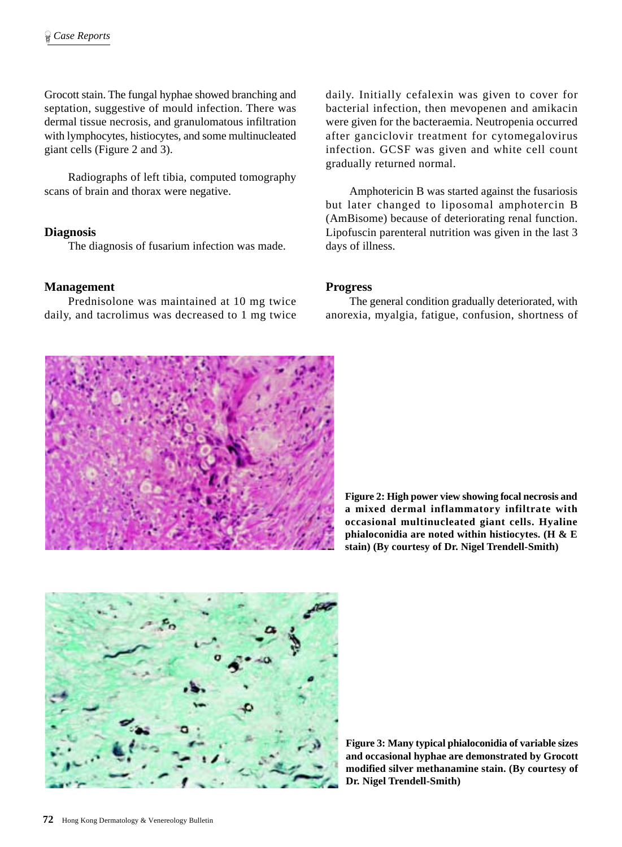Grocott stain. The fungal hyphae showed branching and septation, suggestive of mould infection. There was dermal tissue necrosis, and granulomatous infiltration with lymphocytes, histiocytes, and some multinucleated giant cells (Figure 2 and 3).

Radiographs of left tibia, computed tomography scans of brain and thorax were negative.

## **Diagnosis**

The diagnosis of fusarium infection was made.

## **Management**

Prednisolone was maintained at 10 mg twice daily, and tacrolimus was decreased to 1 mg twice daily. Initially cefalexin was given to cover for bacterial infection, then mevopenen and amikacin were given for the bacteraemia. Neutropenia occurred after ganciclovir treatment for cytomegalovirus infection. GCSF was given and white cell count gradually returned normal.

Amphotericin B was started against the fusariosis but later changed to liposomal amphotercin B (AmBisome) because of deteriorating renal function. Lipofuscin parenteral nutrition was given in the last 3 days of illness.

## **Progress**

The general condition gradually deteriorated, with anorexia, myalgia, fatigue, confusion, shortness of



**Figure 2: High power view showing focal necrosis and a mixed dermal inflammatory infiltrate with occasional multinucleated giant cells. Hyaline phialoconidia are noted within histiocytes. (H & E stain) (By courtesy of Dr. Nigel Trendell-Smith)**



**Figure 3: Many typical phialoconidia of variable sizes and occasional hyphae are demonstrated by Grocott modified silver methanamine stain. (By courtesy of Dr. Nigel Trendell-Smith)**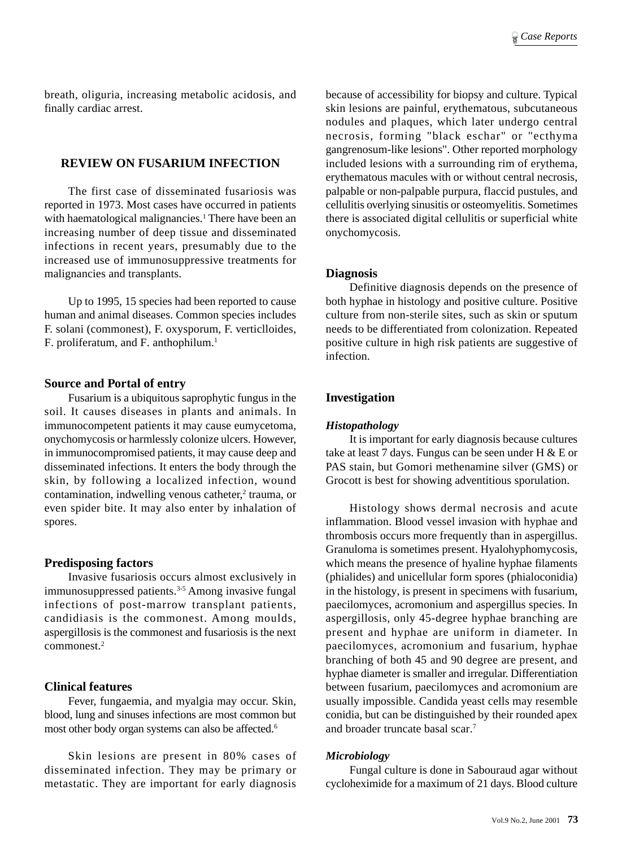breath, oliguria, increasing metabolic acidosis, and finally cardiac arrest.

# **REVIEW ON FUSARIUM INFECTION**

The first case of disseminated fusariosis was reported in 1973. Most cases have occurred in patients with haematological malignancies.<sup>1</sup> There have been an increasing number of deep tissue and disseminated infections in recent years, presumably due to the increased use of immunosuppressive treatments for malignancies and transplants.

Up to 1995, 15 species had been reported to cause human and animal diseases. Common species includes F. solani (commonest), F. oxysporum, F. verticlloides, F. proliferatum, and F. anthophilum.1

#### **Source and Portal of entry**

Fusarium is a ubiquitous saprophytic fungus in the soil. It causes diseases in plants and animals. In immunocompetent patients it may cause eumycetoma, onychomycosis or harmlessly colonize ulcers. However, in immunocompromised patients, it may cause deep and disseminated infections. It enters the body through the skin, by following a localized infection, wound contamination, indwelling venous catheter,<sup>2</sup> trauma, or even spider bite. It may also enter by inhalation of spores.

#### **Predisposing factors**

Invasive fusariosis occurs almost exclusively in immunosuppressed patients.3-5 Among invasive fungal infections of post-marrow transplant patients, candidiasis is the commonest. Among moulds, aspergillosis is the commonest and fusariosis is the next commonest.2

## **Clinical features**

Fever, fungaemia, and myalgia may occur. Skin, blood, lung and sinuses infections are most common but most other body organ systems can also be affected.<sup>6</sup>

Skin lesions are present in 80% cases of disseminated infection. They may be primary or metastatic. They are important for early diagnosis because of accessibility for biopsy and culture. Typical skin lesions are painful, erythematous, subcutaneous nodules and plaques, which later undergo central necrosis, forming "black eschar" or "ecthyma gangrenosum-like lesions". Other reported morphology included lesions with a surrounding rim of erythema, erythematous macules with or without central necrosis, palpable or non-palpable purpura, flaccid pustules, and cellulitis overlying sinusitis or osteomyelitis. Sometimes there is associated digital cellulitis or superficial white onychomycosis.

#### **Diagnosis**

Definitive diagnosis depends on the presence of both hyphae in histology and positive culture. Positive culture from non-sterile sites, such as skin or sputum needs to be differentiated from colonization. Repeated positive culture in high risk patients are suggestive of infection.

#### **Investigation**

#### *Histopathology*

It is important for early diagnosis because cultures take at least 7 days. Fungus can be seen under H & E or PAS stain, but Gomori methenamine silver (GMS) or Grocott is best for showing adventitious sporulation.

Histology shows dermal necrosis and acute inflammation. Blood vessel invasion with hyphae and thrombosis occurs more frequently than in aspergillus. Granuloma is sometimes present. Hyalohyphomycosis, which means the presence of hyaline hyphae filaments (phialides) and unicellular form spores (phialoconidia) in the histology, is present in specimens with fusarium, paecilomyces, acromonium and aspergillus species. In aspergillosis, only 45-degree hyphae branching are present and hyphae are uniform in diameter. In paecilomyces, acromonium and fusarium, hyphae branching of both 45 and 90 degree are present, and hyphae diameter is smaller and irregular. Differentiation between fusarium, paecilomyces and acromonium are usually impossible. Candida yeast cells may resemble conidia, but can be distinguished by their rounded apex and broader truncate basal scar.7

#### *Microbiology*

Fungal culture is done in Sabouraud agar without cycloheximide for a maximum of 21 days. Blood culture